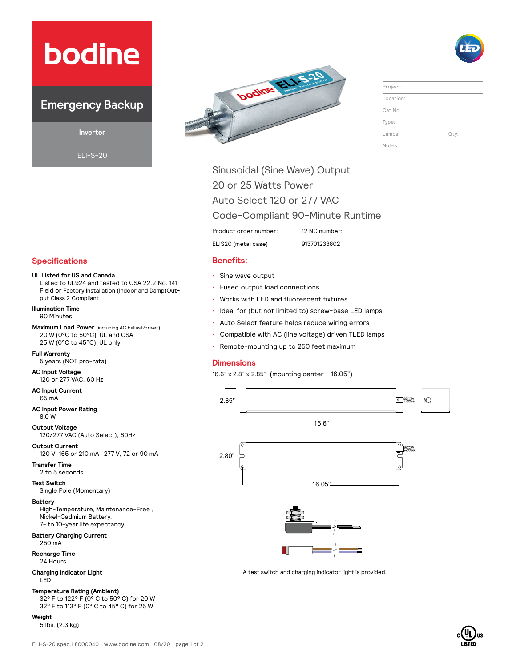# **bodine**

### **Emergency Backup**

**Inverter**

ELI-S-20





| Project:  |      |
|-----------|------|
| Location: |      |
| Cat.No:   |      |
| Type:     |      |
| Lamps:    | Qty: |
| Notes:    |      |

Sinusoidal (Sine Wave) Output 20 or 25 Watts Power

Auto Select 120 or 277 VAC

Code-Compliant 90-Minute Runtime

Product order number: 12 NC number:

ELIS20 (metal case) 913701233802

- Sine wave output
- Fused output load connections
- Works with LED and fluorescent fixtures
- Ideal for (but not limited to) screw-base LED lamps
- Auto Select feature helps reduce wiring errors
- Compatible with AC (line voltage) driven TLED lamps
- Remote-mounting up to 250 feet maximum

#### **Dimensions**

16.6" x 2.8" x 2.85" (mounting center - 16.05")





A test switch and charging indicator light is provided.

### **Specifications Benefits:**

#### **UL Listed for US and Canada**

Listed to UL924 and tested to CSA 22.2 No. 141 Field or Factory Installation (Indoor and Damp)Output Class 2 Compliant

**Illumination Time** 90 Minutes

**Maximum Load Power** (including AC ballast/driver) 20 W (0°C to 50°C) UL and CSA 25 W (0°C to 45°C) UL only

#### **Full Warranty**

5 years (NOT pro-rata)

#### **AC Input Voltage** 120 or 277 VAC, 60 Hz

**AC Input Current** 65 mA

#### **AC Input Power Rating** 8.0 W

**Output Voltage**  120/277 VAC (Auto Select), 60Hz

**Output Current** 

120 V, 165 or 210 mA 277 V, 72 or 90 mA

**Transfer Time** 2 to 5 seconds

**Test Switch** Single Pole (Momentary)

#### **Battery**

High-Temperature, Maintenance-Free , Nickel-Cadmium Battery, 7- to 10-year life expectancy

#### **Battery Charging Current** 250 mA

**Recharge Time**

24 Hours

#### **Charging Indicator Light** LED

#### **Temperature Rating (Ambient)**

32° F to 122° F (0° C to 50° C) for 20 W 32° F to 113° F (0° C to 45° C) for 25 W

#### **Weight**

5 lbs. (2.3 kg)